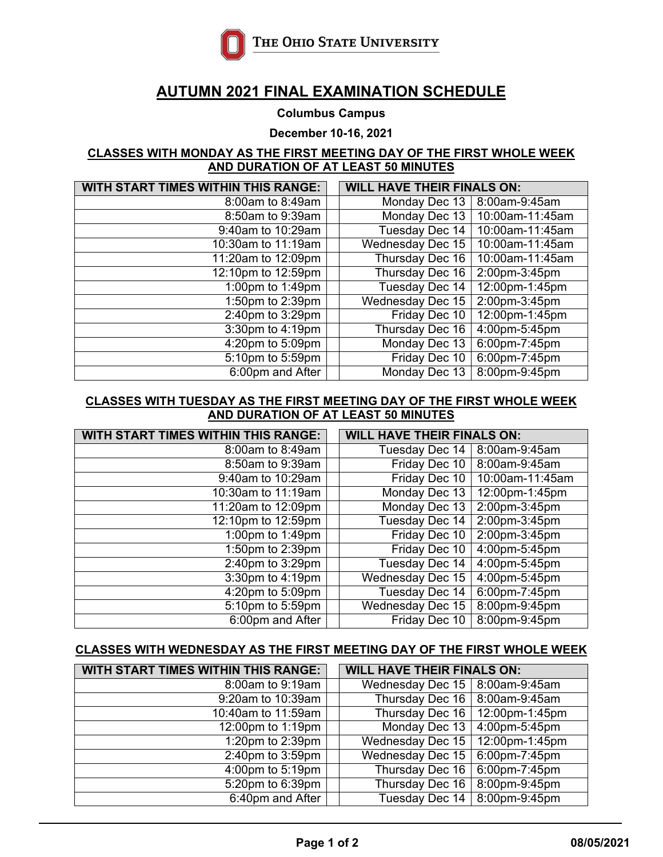

# **AUTUMN 2021 FINAL EXAMINATION SCHEDULE**

**Columbus Campus**

**December 10-16, 2021**

#### **CLASSES WITH MONDAY AS THE FIRST MEETING DAY OF THE FIRST WHOLE WEEK AND DURATION OF AT LEAST 50 MINUTES**

| <b>WITH START TIMES WITHIN THIS RANGE:</b> |  | <b>WILL HAVE THEIR FINALS ON:</b> |                 |
|--------------------------------------------|--|-----------------------------------|-----------------|
| 8:00am to 8:49am                           |  | Monday Dec 13                     | 8:00am-9:45am   |
| 8:50am to 9:39am                           |  | Monday Dec 13                     | 10:00am-11:45am |
| 9:40am to 10:29am                          |  | Tuesday Dec 14                    | 10:00am-11:45am |
| 10:30am to 11:19am                         |  | <b>Wednesday Dec 15</b>           | 10:00am-11:45am |
| 11:20am to 12:09pm                         |  | Thursday Dec 16                   | 10:00am-11:45am |
| 12:10pm to 12:59pm                         |  | Thursday Dec 16                   | 2:00pm-3:45pm   |
| 1:00pm to 1:49pm                           |  | Tuesday Dec 14                    | 12:00pm-1:45pm  |
| 1:50pm to 2:39pm                           |  | <b>Wednesday Dec 15</b>           | 2:00pm-3:45pm   |
| 2:40pm to 3:29pm                           |  | Friday Dec 10                     | 12:00pm-1:45pm  |
| 3:30pm to 4:19pm                           |  | Thursday Dec 16                   | 4:00pm-5:45pm   |
| 4:20pm to 5:09pm                           |  | Monday Dec 13                     | 6:00pm-7:45pm   |
| 5:10pm to 5:59pm                           |  | Friday Dec 10                     | 6:00pm-7:45pm   |
| 6:00pm and After                           |  | Monday Dec 13                     | 8:00pm-9:45pm   |

### **CLASSES WITH TUESDAY AS THE FIRST MEETING DAY OF THE FIRST WHOLE WEEK AND DURATION OF AT LEAST 50 MINUTES**

| <b>WITH START TIMES WITHIN THIS RANGE:</b> |  | <b>WILL HAVE THEIR FINALS ON:</b> |                 |  |
|--------------------------------------------|--|-----------------------------------|-----------------|--|
| 8:00am to 8:49am                           |  | Tuesday Dec 14                    | 8:00am-9:45am   |  |
| 8:50am to 9:39am                           |  | Friday Dec 10                     | 8:00am-9:45am   |  |
| 9:40am to 10:29am                          |  | Friday Dec 10                     | 10:00am-11:45am |  |
| 10:30am to 11:19am                         |  | Monday Dec 13                     | 12:00pm-1:45pm  |  |
| 11:20am to 12:09pm                         |  | Monday Dec 13                     | 2:00pm-3:45pm   |  |
| 12:10pm to 12:59pm                         |  | Tuesday Dec 14                    | 2:00pm-3:45pm   |  |
| 1:00pm to 1:49pm                           |  | Friday Dec 10                     | 2:00pm-3:45pm   |  |
| 1:50pm to 2:39pm                           |  | Friday Dec 10                     | 4:00pm-5:45pm   |  |
| $2:40$ pm to 3:29pm                        |  | Tuesday Dec 14                    | 4:00pm-5:45pm   |  |
| 3:30pm to 4:19pm                           |  | <b>Wednesday Dec 15</b>           | 4:00pm-5:45pm   |  |
| 4:20pm to 5:09pm                           |  | Tuesday Dec 14                    | 6:00pm-7:45pm   |  |
| $\overline{5:10}$ pm to 5:59pm             |  | <b>Wednesday Dec 15</b>           | 8:00pm-9:45pm   |  |
| 6:00pm and After                           |  | Friday Dec 10                     | 8:00pm-9:45pm   |  |

### **CLASSES WITH WEDNESDAY AS THE FIRST MEETING DAY OF THE FIRST WHOLE WEEK**

| <b>WITH START TIMES WITHIN THIS RANGE:</b> | <b>WILL HAVE THEIR FINALS ON:</b>     |                |  |
|--------------------------------------------|---------------------------------------|----------------|--|
| 8:00am to 9:19am                           | Wednesday Dec 15   8:00am-9:45am      |                |  |
| 9:20am to 10:39am                          | Thursday Dec $16 \mid 8:00$ am-9:45am |                |  |
| 10:40am to 11:59am                         | Thursday Dec 16                       | 12:00pm-1:45pm |  |
| 12:00pm to 1:19pm                          | Monday Dec 13                         | 4:00pm-5:45pm  |  |
| 1:20pm to 2:39pm                           | <b>Wednesday Dec 15</b>               | 12:00pm-1:45pm |  |
| 2:40pm to 3:59pm                           | <b>Wednesday Dec 15</b>               | 6:00pm-7:45pm  |  |
| 4:00pm to 5:19pm                           | Thursday Dec 16                       | 6:00pm-7:45pm  |  |
| 5:20pm to 6:39pm                           | Thursday Dec 16                       | 8:00pm-9:45pm  |  |
| 6:40pm and After                           | <b>Tuesday Dec 14</b>                 | 8:00pm-9:45pm  |  |